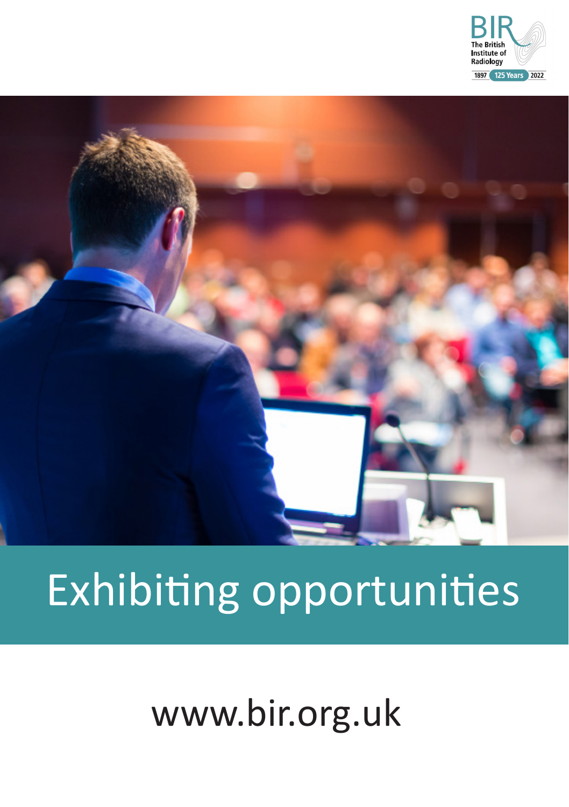



# Exhibiting opportunities

www.bir.org.uk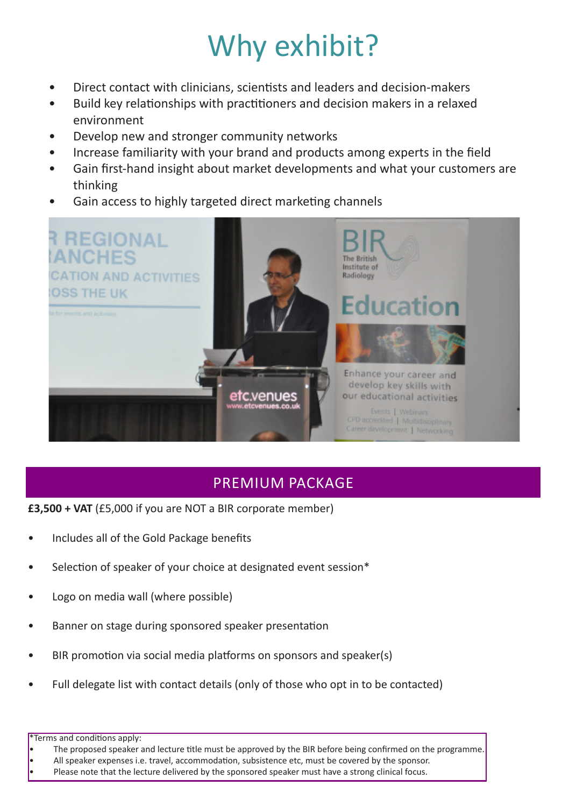## Why exhibit?

- Direct contact with clinicians, scientists and leaders and decision-makers
- Build key relationships with practitioners and decision makers in a relaxed environment
- Develop new and stronger community networks
- Increase familiarity with your brand and products among experts in the field
- Gain first-hand insight about market developments and what your customers are thinking
- Gain access to highly targeted direct marketing channels



## PREMIUM PACKAGE

**£3,500 + VAT** (£5,000 if you are NOT a BIR corporate member)

- Includes all of the Gold Package benefits
- Selection of speaker of your choice at designated event session\*
- Logo on media wall (where possible)
- Banner on stage during sponsored speaker presentation
- BIR promotion via social media platforms on sponsors and speaker(s)
- Full delegate list with contact details (only of those who opt in to be contacted)

- All speaker expenses i.e. travel, accommodation, subsistence etc, must be covered by the sponsor.
- Please note that the lecture delivered by the sponsored speaker must have a strong clinical focus.

Terms and conditions apply:

<sup>•</sup> The proposed speaker and lecture title must be approved by the BIR before being confirmed on the programme.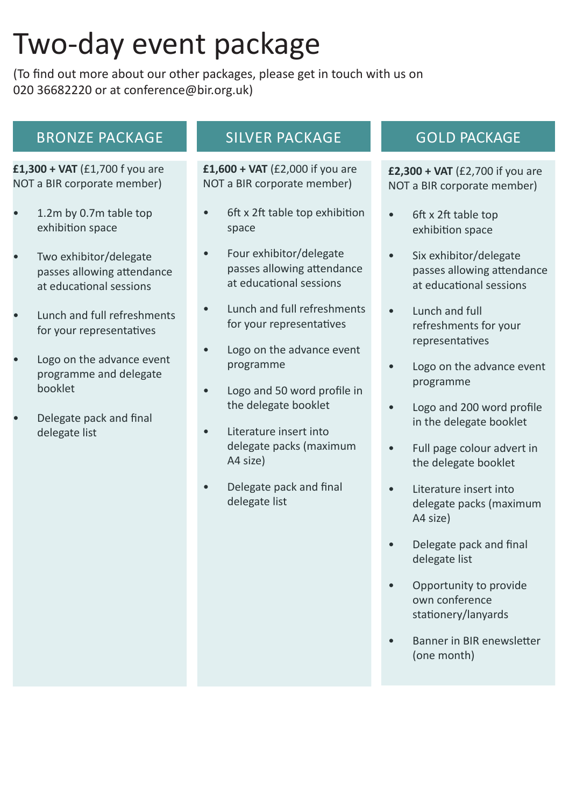## Two-day event package

(To find out more about our other packages, please get in touch with us on 020 36682220 or at conference@bir.org.uk)

## BRONZE PACKAGE

**£1,300 + VAT** (£1,700 f you are NOT a BIR corporate member)

- 1.2m by 0.7m table top exhibition space
- Two exhibitor/delegate passes allowing attendance at educational sessions
- Lunch and full refreshments for your representatives
- Logo on the advance event programme and delegate booklet
- Delegate pack and final delegate list

#### SILVER PACKAGE **GOLD PACKAGE**

**£1,600 + VAT** (£2,000 if you are NOT a BIR corporate member)

- 6ft x 2ft table top exhibition space
- Four exhibitor/delegate passes allowing attendance at educational sessions
- Lunch and full refreshments for your representatives
- Logo on the advance event programme
- Logo and 50 word profile in the delegate booklet
- Literature insert into delegate packs (maximum A4 size)
- Delegate pack and final delegate list

**£2,300 + VAT** (£2,700 if you are NOT a BIR corporate member)

- 6ft x 2ft table top exhibition space
- Six exhibitor/delegate passes allowing attendance at educational sessions
- Lunch and full refreshments for your representatives
- Logo on the advance event programme
- Logo and 200 word profile in the delegate booklet
- Full page colour advert in the delegate booklet
- Literature insert into delegate packs (maximum A4 size)
- Delegate pack and final delegate list
- Opportunity to provide own conference stationery/lanyards
- Banner in BIR enewsletter (one month)